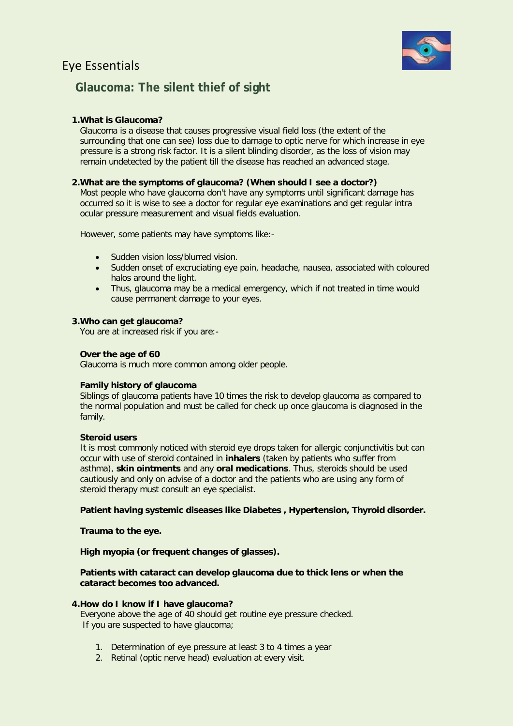# Eye Essentials



# **Glaucoma: The silent thief of sight**

## **1.What is Glaucoma?**

Glaucoma is a disease that causes progressive visual field loss (the extent of the surrounding that one can see) loss due to damage to optic nerve for which increase in eye pressure is a strong risk factor. It is a silent blinding disorder, as the loss of vision may remain undetected by the patient till the disease has reached an advanced stage.

## **2.What are the symptoms of glaucoma? (When should I see a doctor?)**

Most people who have glaucoma don't have any symptoms until significant damage has occurred so it is wise to see a doctor for regular eye examinations and get regular intra ocular pressure measurement and visual fields evaluation.

However, some patients may have symptoms like:-

- Sudden vision loss/blurred vision.
- Sudden onset of excruciating eye pain, headache, nausea, associated with coloured halos around the light.
- Thus, glaucoma may be a medical emergency, which if not treated in time would cause permanent damage to your eyes.

### **3.Who can get glaucoma?**

You are at increased risk if you are:-

## **Over the age of 60**

Glaucoma is much more common among older people.

## **Family history of glaucoma**

Siblings of glaucoma patients have 10 times the risk to develop glaucoma as compared to the normal population and must be called for check up once glaucoma is diagnosed in the family.

#### **Steroid users**

It is most commonly noticed with steroid eye drops taken for allergic conjunctivitis but can occur with use of steroid contained in **inhalers** (taken by patients who suffer from asthma), **skin ointments** and any **oral medications**. Thus, steroids should be used cautiously and only on advise of a doctor and the patients who are using any form of steroid therapy must consult an eye specialist.

## **Patient having systemic diseases like Diabetes , Hypertension, Thyroid disorder.**

#### **Trauma to the eye.**

## **High myopia (or frequent changes of glasses).**

### **Patients with cataract can develop glaucoma due to thick lens or when the cataract becomes too advanced.**

#### **4.How do I know if I have glaucoma?**

Everyone above the age of 40 should get routine eye pressure checked. If you are suspected to have glaucoma;

- 1. Determination of eye pressure at least 3 to 4 times a year
- 2. Retinal (optic nerve head) evaluation at every visit.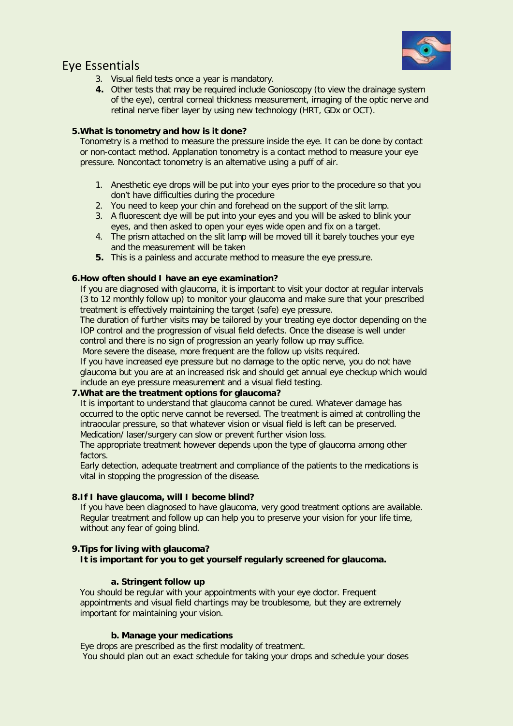

# Eye Essentials

- 3. Visual field tests once a year is mandatory.
- **4.** Other tests that may be required include Gonioscopy (to view the drainage system of the eye), central corneal thickness measurement, imaging of the optic nerve and retinal nerve fiber layer by using new technology (HRT, GDx or OCT).

## **5.What is tonometry and how is it done?**

Tonometry is a method to measure the pressure inside the eye. It can be done by contact or non-contact method. Applanation tonometry is a contact method to measure your eye pressure. Noncontact tonometry is an alternative using a puff of air.

- 1. Anesthetic eye drops will be put into your eyes prior to the procedure so that you don't have difficulties during the procedure
- 2. You need to keep your chin and forehead on the support of the slit lamp.
- 3. A fluorescent dye will be put into your eyes and you will be asked to blink your eyes, and then asked to open your eyes wide open and fix on a target.
- 4. The prism attached on the slit lamp will be moved till it barely touches your eye and the measurement will be taken
- **5.** This is a painless and accurate method to measure the eye pressure.

## **6.How often should I have an eye examination?**

If you are diagnosed with glaucoma, it is important to visit your doctor at regular intervals (3 to 12 monthly follow up) to monitor your glaucoma and make sure that your prescribed treatment is effectively maintaining the target (safe) eye pressure.

The duration of further visits may be tailored by your treating eye doctor depending on the IOP control and the progression of visual field defects. Once the disease is well under control and there is no sign of progression an yearly follow up may suffice.

More severe the disease, more frequent are the follow up visits required.

If you have increased eye pressure but no damage to the optic nerve, you do not have glaucoma but you are at an increased risk and should get annual eye checkup which would include an eye pressure measurement and a visual field testing.

## **7.What are the treatment options for glaucoma?**

It is important to understand that glaucoma cannot be cured. Whatever damage has occurred to the optic nerve cannot be reversed. The treatment is aimed at controlling the intraocular pressure, so that whatever vision or visual field is left can be preserved. Medication/ laser/surgery can slow or prevent further vision loss.

The appropriate treatment however depends upon the type of glaucoma among other factors.

Early detection, adequate treatment and compliance of the patients to the medications is vital in stopping the progression of the disease.

## **8.If I have glaucoma, will I become blind?**

If you have been diagnosed to have glaucoma, very good treatment options are available. Regular treatment and follow up can help you to preserve your vision for your life time, without any fear of going blind.

## **9.Tips for living with glaucoma?**

**It is important for you to get yourself regularly screened for glaucoma.** 

## **a. Stringent follow up**

You should be regular with your appointments with your eye doctor. Frequent appointments and visual field chartings may be troublesome, but they are extremely important for maintaining your vision.

## **b. Manage your medications**

Eye drops are prescribed as the first modality of treatment. You should plan out an exact schedule for taking your drops and schedule your doses